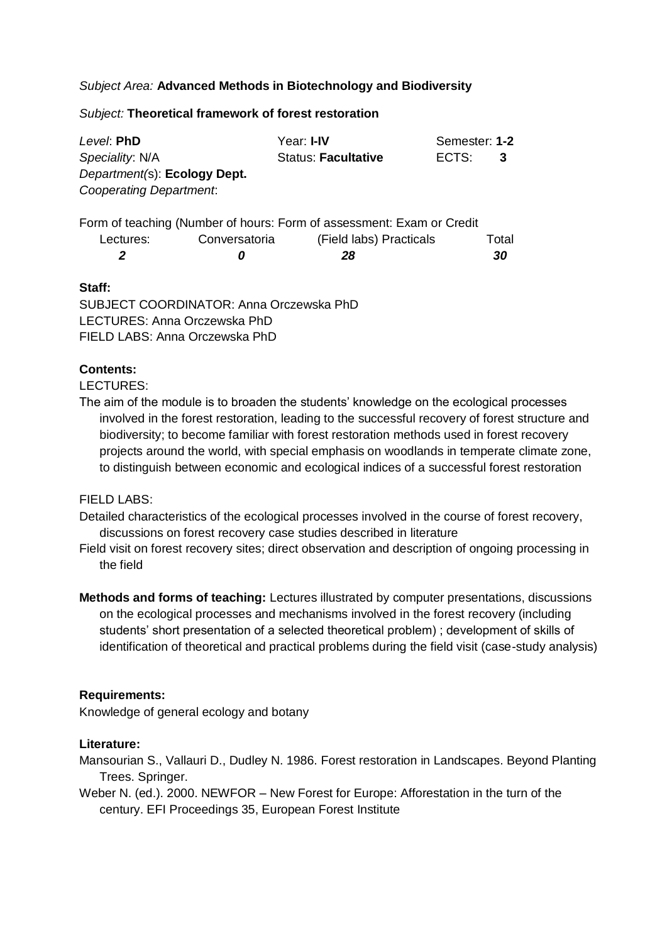# *Subject Area:* **Advanced Methods in Biotechnology and Biodiversity**

#### *Subject:* **Theoretical framework of forest restoration**

| Level: PhD                              |               | Year: I-IV                                                            |       | Semester: 1-2 |  |
|-----------------------------------------|---------------|-----------------------------------------------------------------------|-------|---------------|--|
| Speciality: N/A                         |               | <b>Status: Facultative</b>                                            | ECTS: | 3             |  |
| Department(s): Ecology Dept.            |               |                                                                       |       |               |  |
| Cooperating Department.                 |               |                                                                       |       |               |  |
|                                         |               | Form of teaching (Number of hours: Form of assessment: Exam or Credit |       |               |  |
| Lectures:                               | Conversatoria | (Field labs) Practicals                                               |       | Total         |  |
| 2                                       | 0             | 28                                                                    |       | 30            |  |
| Staff:                                  |               |                                                                       |       |               |  |
| SUBJECT COORDINATOR: Anna Orczewska PhD |               |                                                                       |       |               |  |

LECTURES: Anna Orczewska PhD FIELD LABS: Anna Orczewska PhD

## **Contents:**

LECTURES:

The aim of the module is to broaden the students' knowledge on the ecological processes involved in the forest restoration, leading to the successful recovery of forest structure and biodiversity; to become familiar with forest restoration methods used in forest recovery projects around the world, with special emphasis on woodlands in temperate climate zone, to distinguish between economic and ecological indices of a successful forest restoration

### FIFI D LABS:

Detailed characteristics of the ecological processes involved in the course of forest recovery, discussions on forest recovery case studies described in literature

- Field visit on forest recovery sites; direct observation and description of ongoing processing in the field
- **Methods and forms of teaching:** Lectures illustrated by computer presentations, discussions on the ecological processes and mechanisms involved in the forest recovery (including students' short presentation of a selected theoretical problem) ; development of skills of identification of theoretical and practical problems during the field visit (case-study analysis)

## **Requirements:**

Knowledge of general ecology and botany

### **Literature:**

Mansourian S., Vallauri D., Dudley N. 1986. Forest restoration in Landscapes. Beyond Planting Trees. Springer.

Weber N. (ed.). 2000. NEWFOR – New Forest for Europe: Afforestation in the turn of the century. EFI Proceedings 35, European Forest Institute